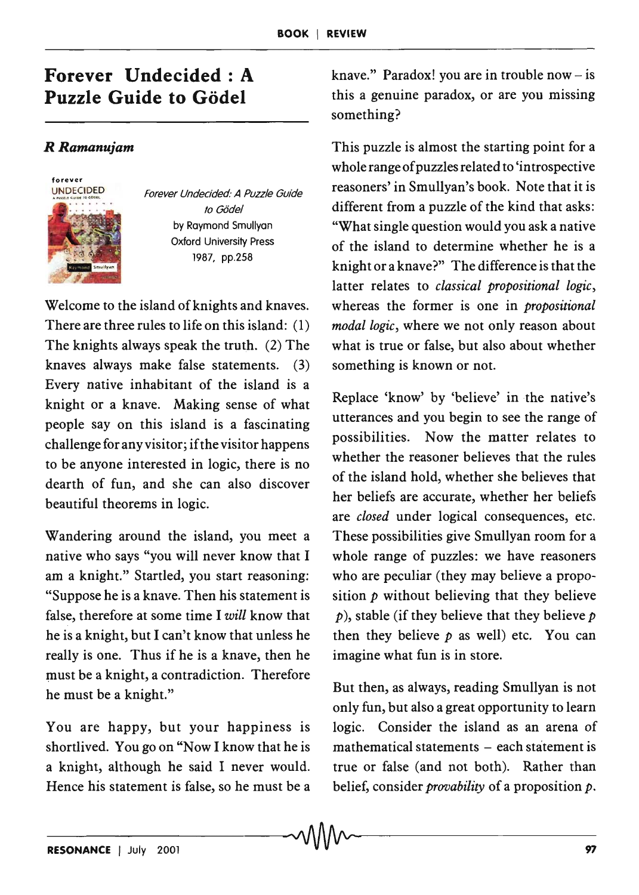## **Forever Undecided: A Puzzle Guide to Godel**

## *RRamanujam*



Forever Undecided: A Puzzle Guide to Gödel by Raymond Smullyan Oxford University Press 1987, pp.2S8

Welcome to the island of knights and knaves. There are three rules to life on this island: (1) The knights always speak the truth. (2) The knaves always make false statements. (3) Every native inhabitant of the island is a knight or a knave. Making sense of what people say on this island is a fascinating challenge for any visitor; if the visitor happens to be anyone interested in logic, there is no dearth of fun, and she can also discover beautiful theorems in logic.

Wandering around the island, you meet a native who says "you will never know that I am a knight." Startled, you start reasoning: "Suppose he is a knave. Then his statement is false, therefore at some time I *will* know that he is a knight, but I can't know that unless he really is one. Thus if he is a knave, then he must be a knight, a contradiction. Therefore he must be a knight."

You are happy, but your happiness is shortlived. You go on "Now I know that he is a knight, although he said I never would. Hence his statement is false, so he must be a

knave." Paradox! you are in trouble now  $-$  is this a genuine paradox, or are you missing something?

This puzzle is almost the starting point for a whole range of puzzles related to 'introspective reasoners' in Smullyan's book. Note that it is different from a puzzle of the kind that asks: "What single question would you ask a native of the island to determine whether he is a knight or a knave?" The difference is that the latter relates to *classical propositional logic,*  whereas the former is one in *propositional modal logic,* where we not only reason about what is true or false, but also about whether something is known or not.

Replace 'know' by 'believe' in the native's utterances and you begin to see the range of possibilities. Now the matter relates to whether the reasoner believes that the rules of the island hold, whether she believes that her beliefs are accurate, whether her beliefs are *closed* under logical consequences, etc. These possibilities give Smullyan room for a whole range of puzzles: we have reasoners who are peculiar (they may believe a proposition  $p$  without believing that they believe  $p$ ), stable (if they believe that they believe  $p$ then they believe  $p$  as well) etc. You can imagine what fun is in store.

But then, as always, reading Smullyan is not only fun, but also a great opportunity to learn logic. Consider the island as an arena of  $mathematical statements - each statement is$ true or false (and not both). Rather than belief, consider *provability* of a proposition *p.*